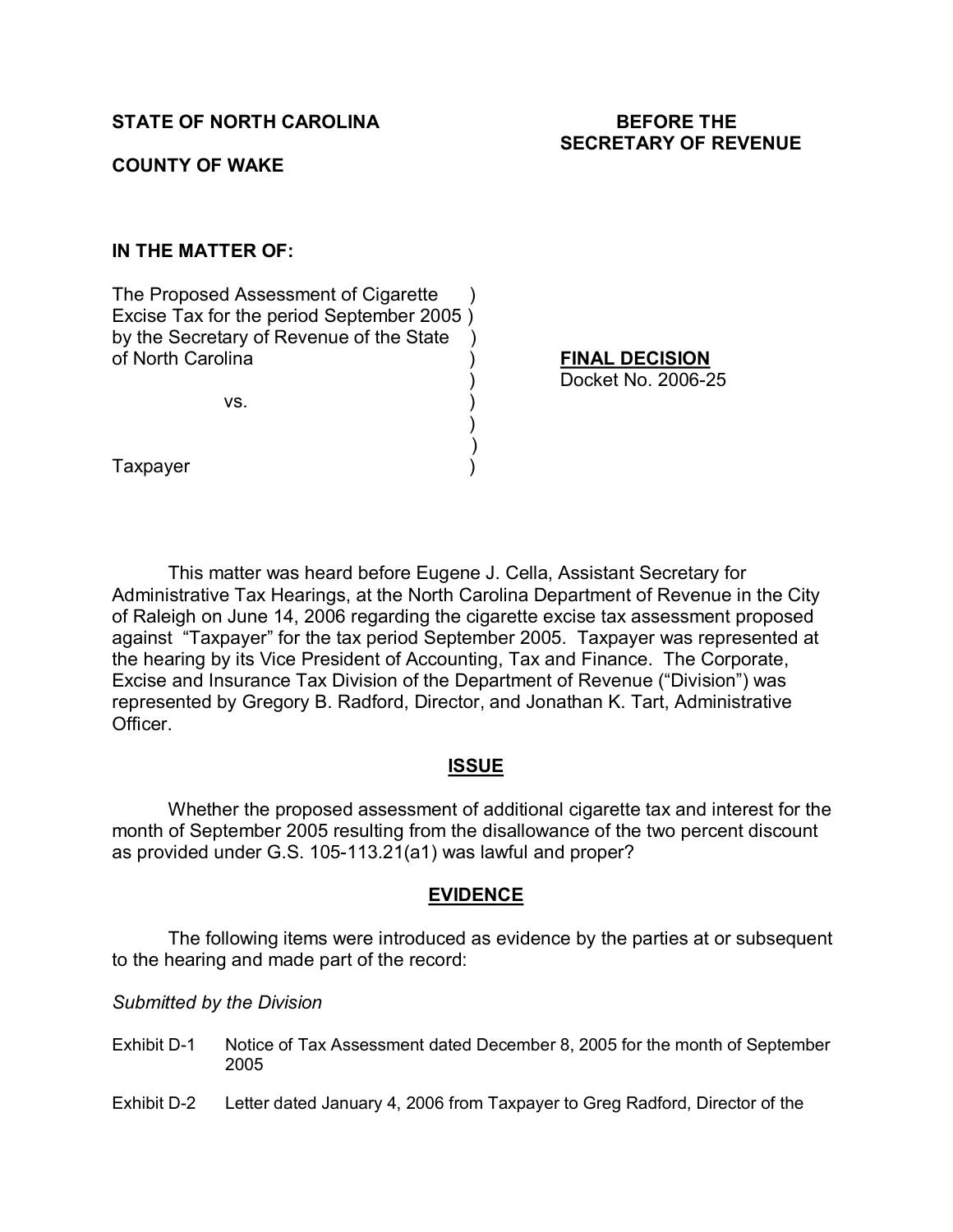## **COUNTY OF WAKE**

## **IN THE MATTER OF:**

The Proposed Assessment of Cigarette Excise Tax for the period September 2005 ) by the Secretary of Revenue of the State ) of North Carolina ) **FINAL DECISION**

 $\mathsf{VS.} \qquad \qquad \mathsf{)}$ 

Docket No. 2006-25

**Taxpayer** 

This matter was heard before Eugene J. Cella, Assistant Secretary for Administrative Tax Hearings, at the North Carolina Department of Revenue in the City of Raleigh on June 14, 2006 regarding the cigarette excise tax assessment proposed against "Taxpayer" for the tax period September 2005. Taxpayer was represented at the hearing by its Vice President of Accounting, Tax and Finance. The Corporate, Excise and Insurance Tax Division of the Department of Revenue ("Division") was represented by Gregory B. Radford, Director, and Jonathan K. Tart, Administrative Officer.

 $)$  $)$ 

### **ISSUE**

Whether the proposed assessment of additional cigarette tax and interest for the month of September 2005 resulting from the disallowance of the two percent discount as provided under G.S. 105-113.21(a1) was lawful and proper?

### **EVIDENCE**

The following items were introduced as evidence by the parties at or subsequent to the hearing and made part of the record:

#### *Submitted by the Division*

- Exhibit D-1 Notice of Tax Assessment dated December 8, 2005 for the month of September 2005
- Exhibit D-2 Letter dated January 4, 2006 from Taxpayer to Greg Radford, Director of the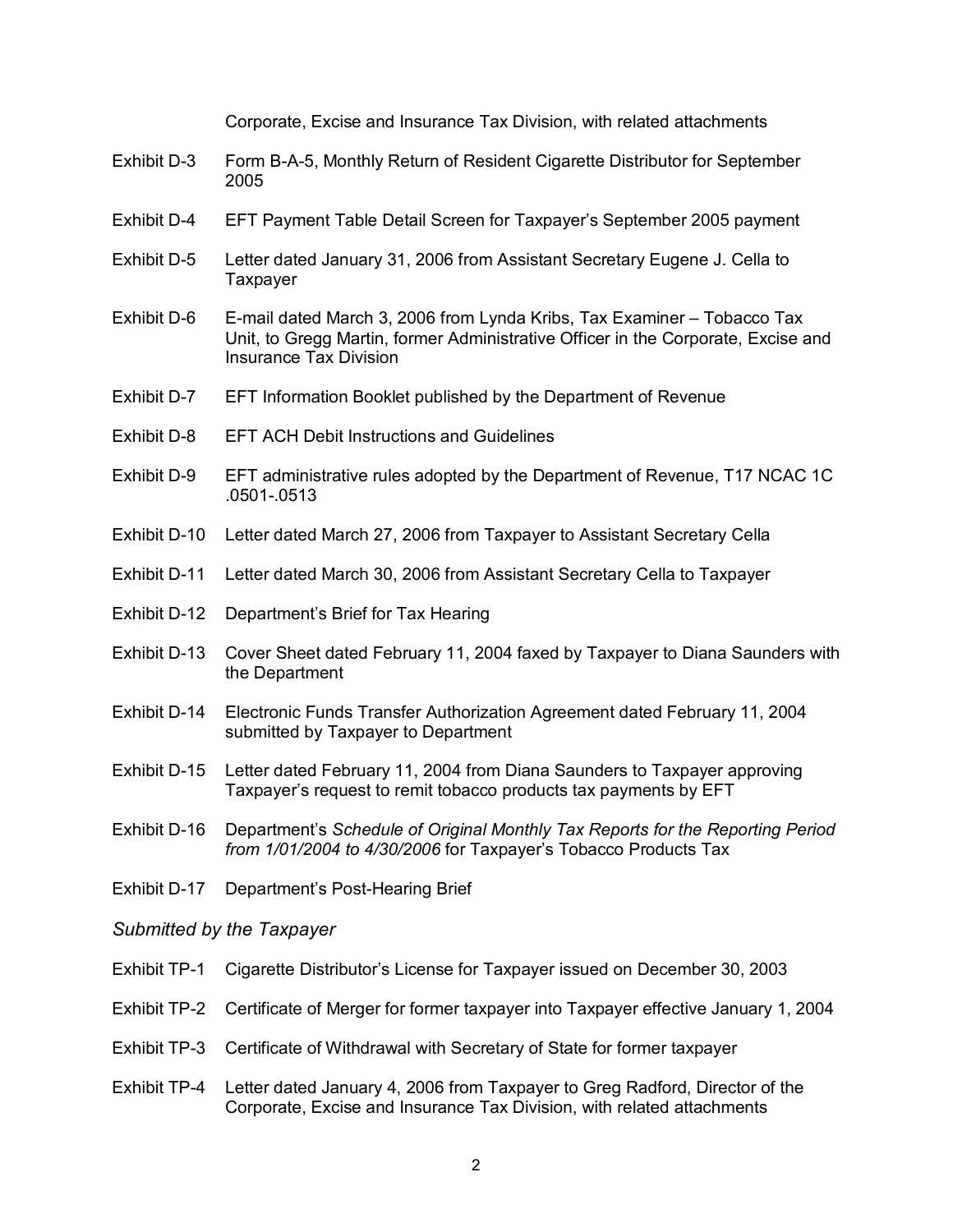Corporate, Excise and Insurance Tax Division, with related attachments

- Exhibit D-3 Form B-A-5, Monthly Return of Resident Cigarette Distributor for September 2005
- Exhibit D4 EFT Payment Table Detail Screen for Taxpayer's September 2005 payment
- Exhibit D-5 Letter dated January 31, 2006 from Assistant Secretary Eugene J. Cella to Taxpayer
- Exhibit D-6 E-mail dated March 3, 2006 from Lynda Kribs, Tax Examiner Tobacco Tax Unit, to Gregg Martin, former Administrative Officer in the Corporate, Excise and Insurance Tax Division
- Exhibit D-7 EFT Information Booklet published by the Department of Revenue
- Exhibit D-8 EFT ACH Debit Instructions and Guidelines
- Exhibit D-9 EFT administrative rules adopted by the Department of Revenue, T17 NCAC 1C .0501.0513
- Exhibit D-10 Letter dated March 27, 2006 from Taxpayer to Assistant Secretary Cella
- Exhibit D-11 Letter dated March 30, 2006 from Assistant Secretary Cella to Taxpayer
- Exhibit D-12 Department's Brief for Tax Hearing
- Exhibit D-13 Cover Sheet dated February 11, 2004 faxed by Taxpayer to Diana Saunders with the Department
- Exhibit D-14 Electronic Funds Transfer Authorization Agreement dated February 11, 2004 submitted by Taxpayer to Department
- Exhibit D-15 Letter dated February 11, 2004 from Diana Saunders to Taxpayer approving Taxpayer's request to remit tobacco products tax payments by EFT
- Exhibit D16 Department's *Schedule of Original Monthly Tax Reports for the Reporting Period from 1/01/2004 to 4/30/2006* for Taxpayer's Tobacco Products Tax
- Exhibit D-17 Department's Post-Hearing Brief

## *Submitted by the Taxpayer*

- Exhibit TP1 Cigarette Distributor's License for Taxpayer issued on December 30, 2003
- Exhibit TP-2 Certificate of Merger for former taxpayer into Taxpayer effective January 1, 2004
- Exhibit TP-3 Certificate of Withdrawal with Secretary of State for former taxpayer
- Exhibit TP4 Letter dated January 4, 2006 from Taxpayer to Greg Radford, Director of the Corporate, Excise and Insurance Tax Division, with related attachments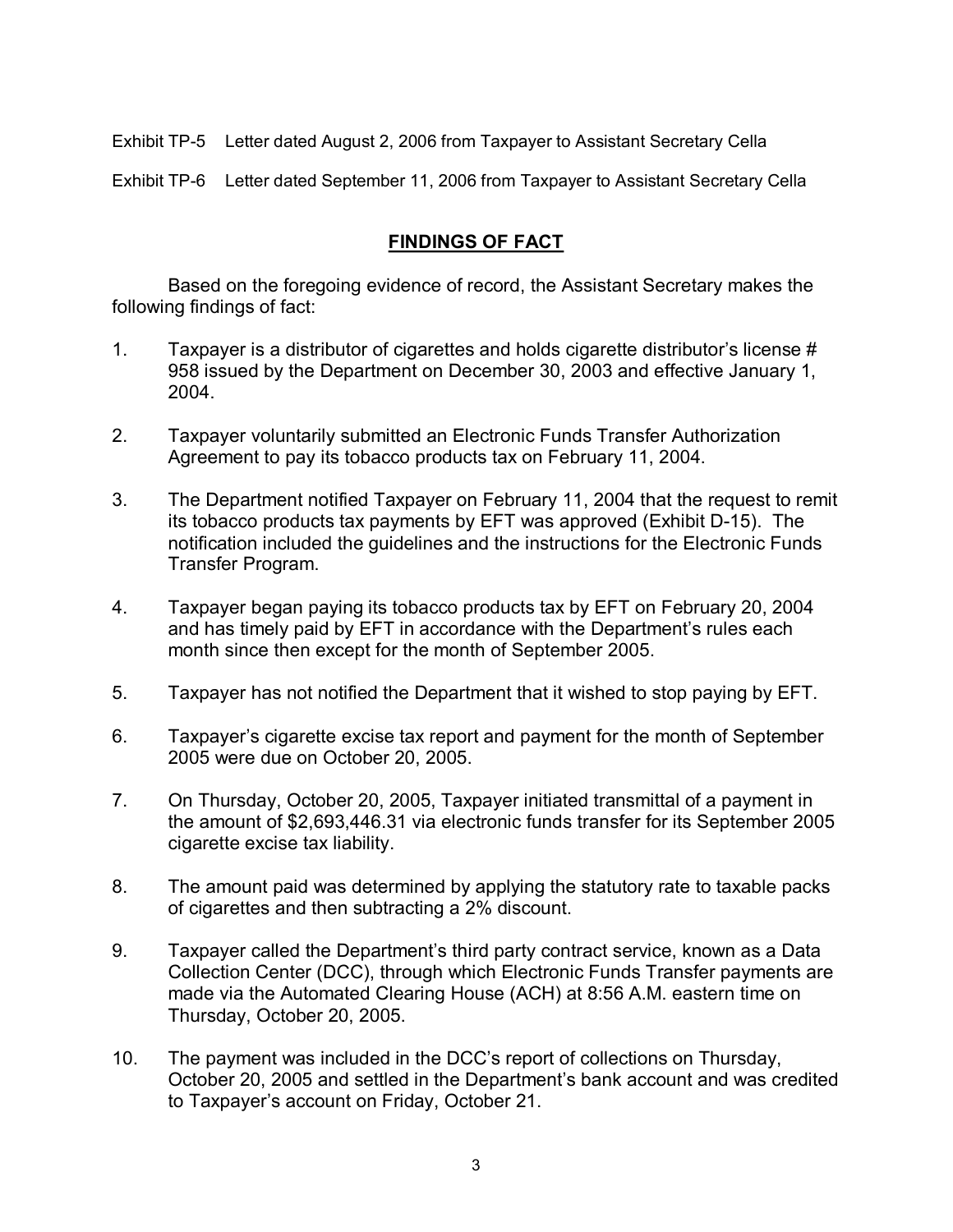Exhibit TP5 Letter dated August 2, 2006 from Taxpayer to Assistant Secretary Cella

Exhibit TP6 Letter dated September 11, 2006 from Taxpayer to Assistant Secretary Cella

# **FINDINGS OF FACT**

Based on the foregoing evidence of record, the Assistant Secretary makes the following findings of fact:

- 1. Taxpayer is a distributor of cigarettes and holds cigarette distributor's license # 958 issued by the Department on December 30, 2003 and effective January 1, 2004.
- 2. Taxpayer voluntarily submitted an Electronic Funds Transfer Authorization Agreement to pay its tobacco products tax on February 11, 2004.
- 3. The Department notified Taxpayer on February 11, 2004 that the request to remit its tobacco products tax payments by EFT was approved (Exhibit D-15). The notification included the guidelines and the instructions for the Electronic Funds Transfer Program.
- 4. Taxpayer began paying its tobacco products tax by EFT on February 20, 2004 and has timely paid by EFT in accordance with the Department's rules each month since then except for the month of September 2005.
- 5. Taxpayer has not notified the Department that it wished to stop paying by EFT.
- 6. Taxpayer's cigarette excise tax report and payment for the month of September 2005 were due on October 20, 2005.
- 7. On Thursday, October 20, 2005, Taxpayer initiated transmittal of a payment in the amount of \$2,693,446.31 via electronic funds transfer for its September 2005 cigarette excise tax liability.
- 8. The amount paid was determined by applying the statutory rate to taxable packs of cigarettes and then subtracting a 2% discount.
- 9. Taxpayer called the Department's third party contract service, known as a Data Collection Center (DCC), through which Electronic Funds Transfer payments are made via the Automated Clearing House (ACH) at 8:56 A.M. eastern time on Thursday, October 20, 2005.
- 10. The payment was included in the DCC's report of collections on Thursday, October 20, 2005 and settled in the Department's bank account and was credited to Taxpayer's account on Friday, October 21.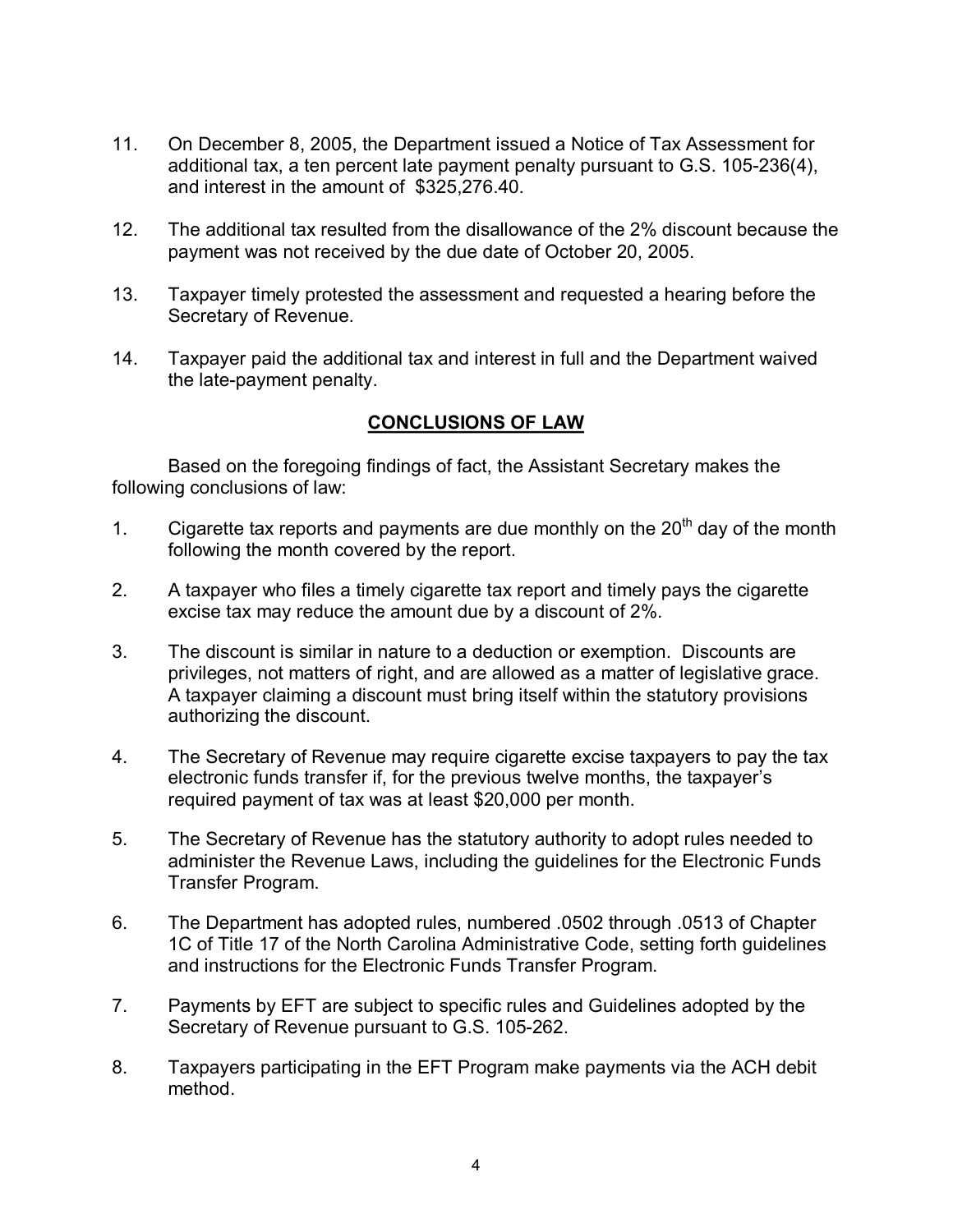- 11. On December 8, 2005, the Department issued a Notice of Tax Assessment for additional tax, a ten percent late payment penalty pursuant to G.S. 105-236(4), and interest in the amount of \$325,276.40.
- 12. The additional tax resulted from the disallowance of the 2% discount because the payment was not received by the due date of October 20, 2005.
- 13. Taxpayer timely protested the assessment and requested a hearing before the Secretary of Revenue.
- 14. Taxpayer paid the additional tax and interest in full and the Department waived the late-payment penalty.

## **CONCLUSIONS OF LAW**

Based on the foregoing findings of fact, the Assistant Secretary makes the following conclusions of law:

- 1. Cigarette tax reports and payments are due monthly on the  $20<sup>th</sup>$  day of the month following the month covered by the report.
- 2. A taxpayer who files a timely cigarette tax report and timely pays the cigarette excise tax may reduce the amount due by a discount of 2%.
- 3. The discount is similar in nature to a deduction or exemption. Discounts are privileges, not matters of right, and are allowed as a matter of legislative grace. A taxpayer claiming a discount must bring itself within the statutory provisions authorizing the discount.
- 4. The Secretary of Revenue may require cigarette excise taxpayers to pay the tax electronic funds transfer if, for the previous twelve months, the taxpayer's required payment of tax was at least \$20,000 per month.
- 5. The Secretary of Revenue has the statutory authority to adopt rules needed to administer the Revenue Laws, including the guidelines for the Electronic Funds Transfer Program.
- 6. The Department has adopted rules, numbered .0502 through .0513 of Chapter 1C of Title 17 of the North Carolina Administrative Code, setting forth guidelines and instructions for the Electronic Funds Transfer Program.
- 7. Payments by EFT are subject to specific rules and Guidelines adopted by the Secretary of Revenue pursuant to G.S. 105-262.
- 8. Taxpayers participating in the EFT Program make payments via the ACH debit method.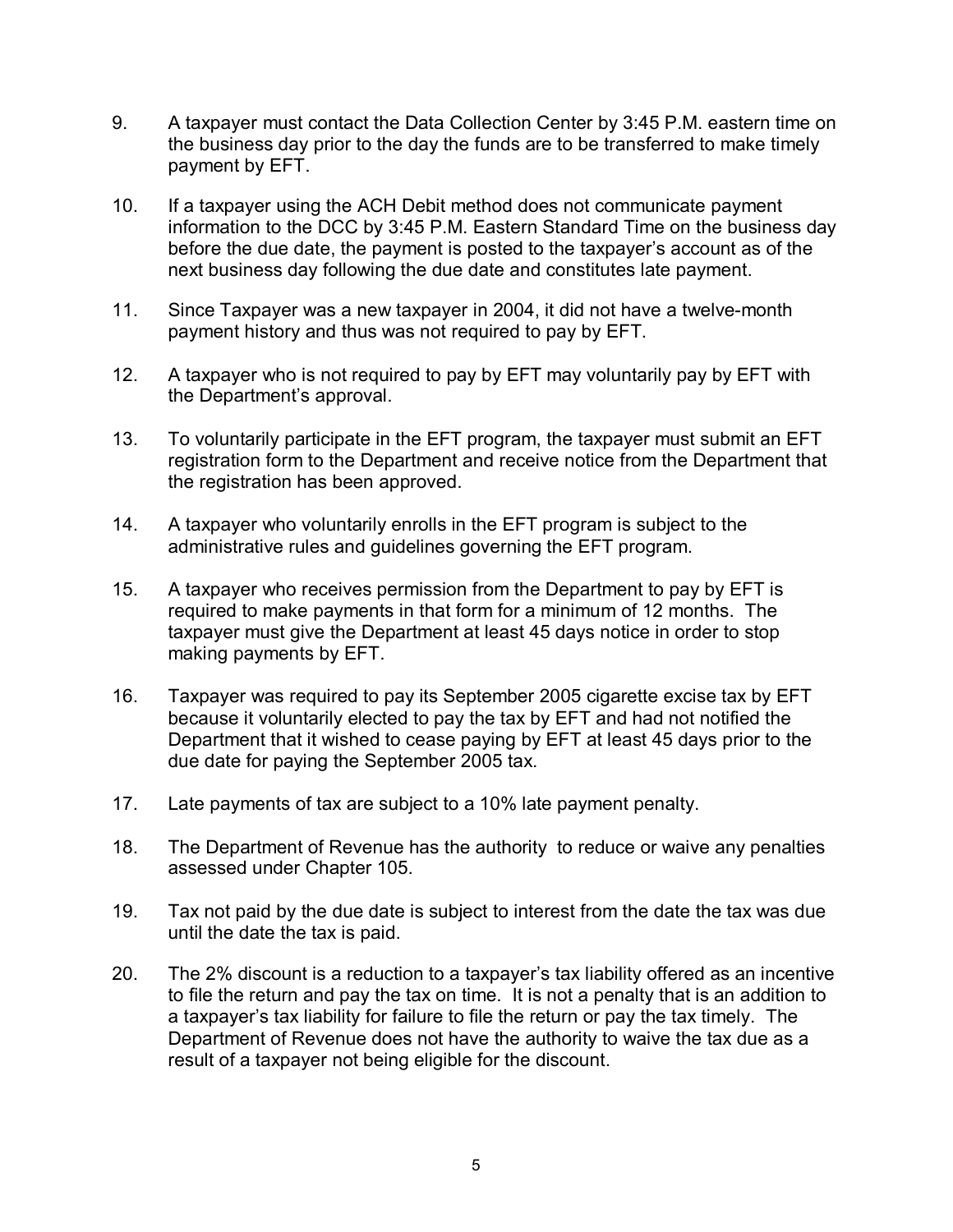- 9. A taxpayer must contact the Data Collection Center by 3:45 P.M. eastern time on the business day prior to the day the funds are to be transferred to make timely payment by EFT.
- 10. If a taxpayer using the ACH Debit method does not communicate payment information to the DCC by 3:45 P.M. Eastern Standard Time on the business day before the due date, the payment is posted to the taxpayer's account as of the next business day following the due date and constitutes late payment.
- 11. Since Taxpayer was a new taxpayer in 2004, it did not have a twelve-month payment history and thus was not required to pay by EFT.
- 12. A taxpayer who is not required to pay by EFT may voluntarily pay by EFT with the Department's approval.
- 13. To voluntarily participate in the EFT program, the taxpayer must submit an EFT registration form to the Department and receive notice from the Department that the registration has been approved.
- 14. A taxpayer who voluntarily enrolls in the EFT program is subject to the administrative rules and guidelines governing the EFT program.
- 15. A taxpayer who receives permission from the Department to pay by EFT is required to make payments in that form for a minimum of 12 months. The taxpayer must give the Department at least 45 days notice in order to stop making payments by EFT.
- 16. Taxpayer was required to pay its September 2005 cigarette excise tax by EFT because it voluntarily elected to pay the tax by EFT and had not notified the Department that it wished to cease paying by EFT at least 45 days prior to the due date for paying the September 2005 tax.
- 17. Late payments of tax are subject to a 10% late payment penalty.
- 18. The Department of Revenue has the authority to reduce or waive any penalties assessed under Chapter 105.
- 19. Tax not paid by the due date is subject to interest from the date the tax was due until the date the tax is paid.
- 20. The 2% discount is a reduction to a taxpayer's tax liability offered as an incentive to file the return and pay the tax on time. It is not a penalty that is an addition to a taxpayer's tax liability for failure to file the return or pay the tax timely. The Department of Revenue does not have the authority to waive the tax due as a result of a taxpayer not being eligible for the discount.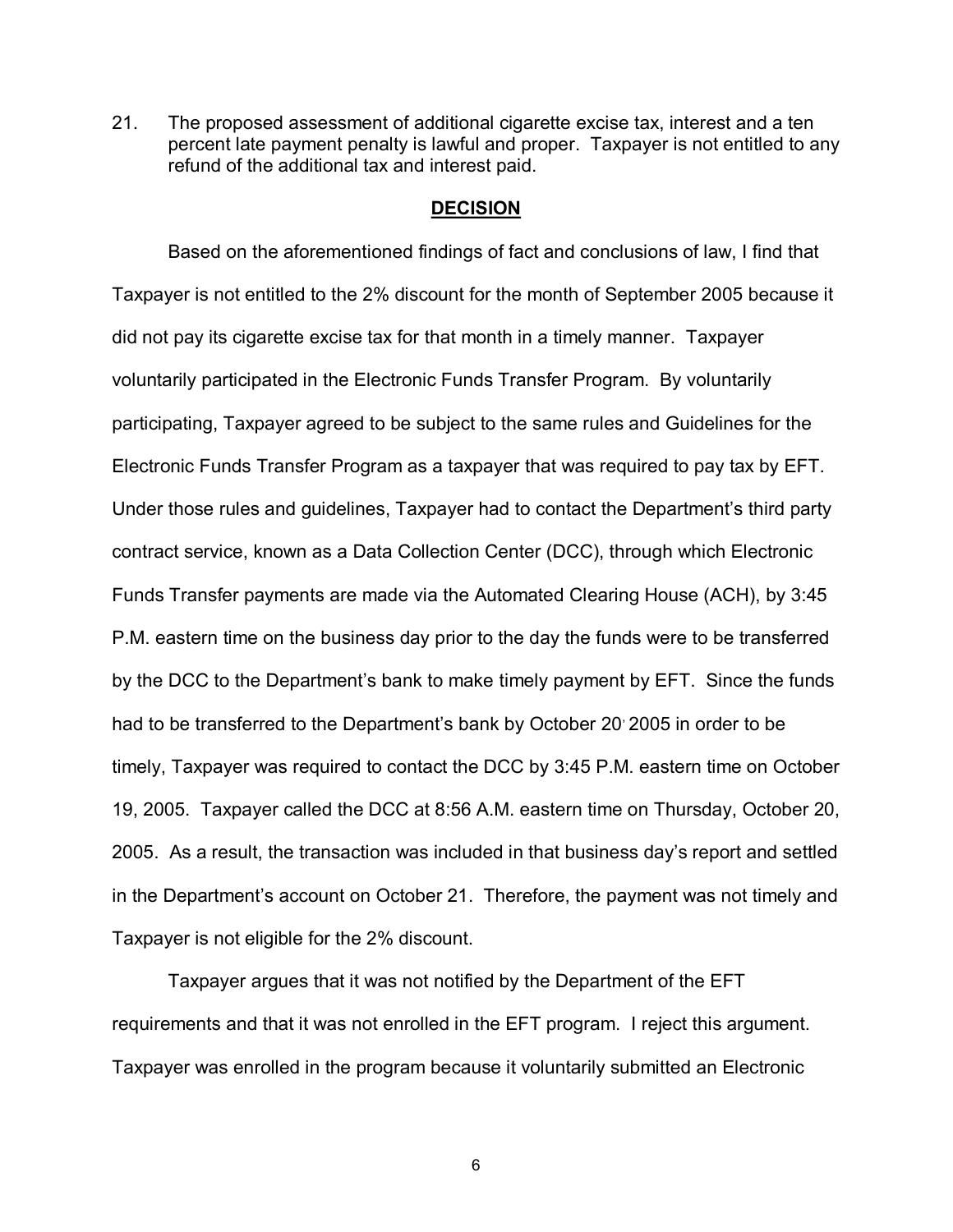21. The proposed assessment of additional cigarette excise tax, interest and a ten percent late payment penalty is lawful and proper. Taxpayer is not entitled to any refund of the additional tax and interest paid.

#### **DECISION**

Based on the aforementioned findings of fact and conclusions of law, I find that Taxpayer is not entitled to the 2% discount for the month of September 2005 because it did not pay its cigarette excise tax for that month in a timely manner. Taxpayer voluntarily participated in the Electronic Funds Transfer Program. By voluntarily participating, Taxpayer agreed to be subject to the same rules and Guidelines for the Electronic Funds Transfer Program as a taxpayer that was required to pay tax by EFT. Under those rules and guidelines, Taxpayer had to contact the Department's third party contract service, known as a Data Collection Center (DCC), through which Electronic Funds Transfer payments are made via the Automated Clearing House (ACH), by 3:45 P.M. eastern time on the business day prior to the day the funds were to be transferred by the DCC to the Department's bank to make timely payment by EFT. Since the funds had to be transferred to the Department's bank by October 20 2005 in order to be timely, Taxpayer was required to contact the DCC by 3:45 P.M. eastern time on October 19, 2005. Taxpayer called the DCC at 8:56 A.M. eastern time on Thursday, October 20, 2005. As a result, the transaction was included in that business day's report and settled in the Department's account on October 21. Therefore, the payment was not timely and Taxpayer is not eligible for the 2% discount.

Taxpayer argues that it was not notified by the Department of the EFT requirements and that it was not enrolled in the EFT program. I reject this argument. Taxpayer was enrolled in the program because it voluntarily submitted an Electronic

6